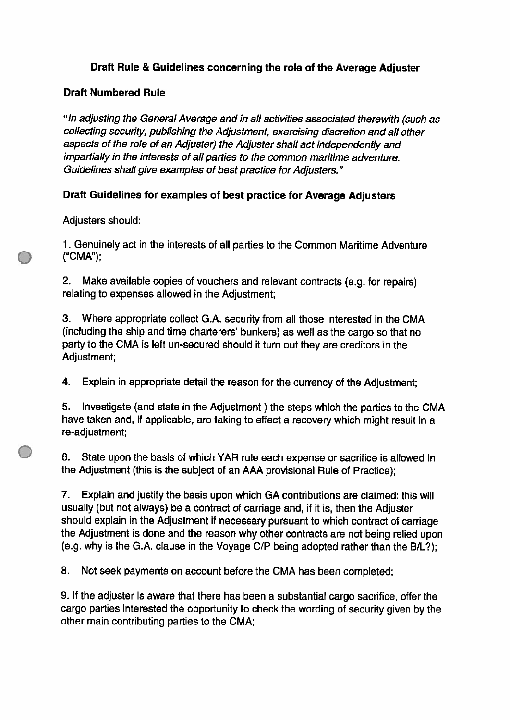# Draft Rule & Guidelines concerning the role of the Average Adjuster

## **Draft Numbered Rule**

"In adjusting the General Average and in all activities associated therewith (such as collecting security, publishing the Adjustment, exercising discretion and all other aspects of the role of an Adjuster) the Adjuster shall act independently and impartially in the interests of all parties to the common maritime adventure. Guidelines shall give examples of best practice for Adjusters."

# Draft Guidelines for examples of best practice for Average Adjusters

Adjusters should:

1. Genuinely act in the interests of all parties to the Common Maritime Adventure ("CMA");

2. Make available copies of vouchers and relevant contracts (e.g. for repairs) relating to expenses allowed in the Adjustment;

3. Where appropriate collect G.A. security from all those interested in the CMA (including the ship and time charterers' bunkers) as well as the cargo so that no party to the CMA is left un-secured should it turn out they are creditors in the Adjustment;

4. Explain in appropriate detail the reason for the currency of the Adjustment:

5. Investigate (and state in the Adjustment) the steps which the parties to the CMA have taken and, if applicable, are taking to effect a recovery which might result in a re-adjustment;

6. State upon the basis of which YAR rule each expense or sacrifice is allowed in the Adjustment (this is the subject of an AAA provisional Rule of Practice);

Explain and justify the basis upon which GA contributions are claimed: this will 7. usually (but not always) be a contract of carriage and, if it is, then the Adjuster should explain in the Adjustment if necessary pursuant to which contract of carriage the Adjustment is done and the reason why other contracts are not being relied upon (e.g. why is the G.A. clause in the Voyage C/P being adopted rather than the B/L?);

8. Not seek payments on account before the CMA has been completed;

9. If the adjuster is aware that there has been a substantial cargo sacrifice, offer the cargo parties interested the opportunity to check the wording of security given by the other main contributing parties to the CMA;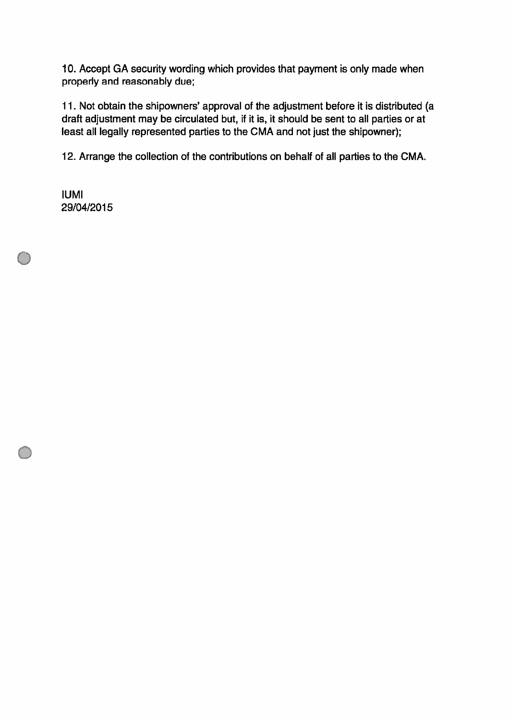10. Accept GA security wording which provides that payment is only made when properly and reasonably due;

11. Not obtain the shipowners' approval of the adjustment before it is distributed (a draft adjustment may be circulated but, if it is, it should be sent to all parties or at least all legally represented parties to the CMA and not just the shipowner);

12. Arrange the collection of the contributions on behalf of all parties to the CMA.

**IUMI** 29/04/2015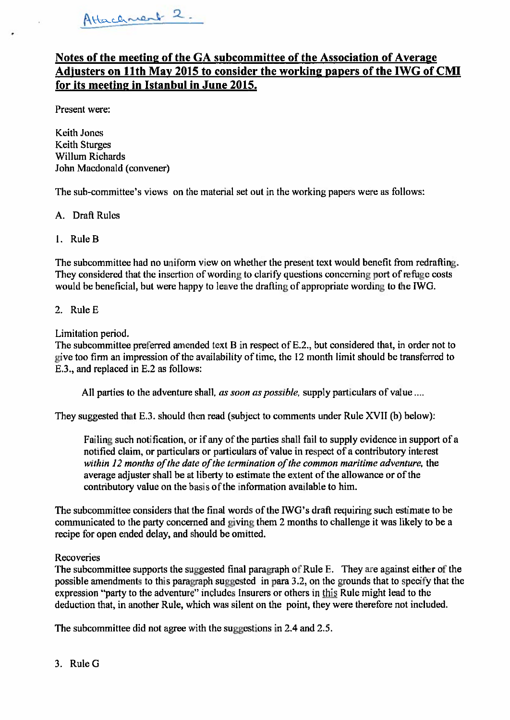# Notes of the meeting of the GA subcommittee of the Association of Average Adjusters on 11th May 2015 to consider the working papers of the IWG of CMI for its meeting in Istanbul in June 2015.

Present were:

**Keith Jones Keith Sturges Willum Richards** John Macdonald (convener)

The sub-committee's views on the material set out in the working papers were as follows:

- A. Draft Rules
- 1. Rule B

The subcommittee had no uniform view on whether the present text would benefit from redrafting. They considered that the insertion of wording to clarify questions concerning port of refuge costs would be beneficial, but were happy to leave the drafting of appropriate wording to the IWG.

### 2. Rule E

Limitation period.

The subcommittee preferred amended text B in respect of E.2., but considered that, in order not to give too firm an impression of the availability of time, the 12 month limit should be transferred to E.3., and replaced in E.2 as follows:

All parties to the adventure shall, as soon as possible, supply particulars of value ....

They suggested that E.3. should then read (subject to comments under Rule XVII (b) below):

Failing such notification, or if any of the parties shall fail to supply evidence in support of a notified claim, or particulars or particulars of value in respect of a contributory interest within 12 months of the date of the termination of the common maritime adventure, the average adjuster shall be at liberty to estimate the extent of the allowance or of the contributory value on the basis of the information available to him.

The subcommittee considers that the final words of the IWG's draft requiring such estimate to be communicated to the party concerned and giving them 2 months to challenge it was likely to be a recipe for open ended delay, and should be omitted.

### Recoveries

The subcommittee supports the suggested final paragraph of Rule E. They are against either of the possible amendments to this paragraph suggested in para 3.2, on the grounds that to specify that the expression "party to the adventure" includes Insurers or others in this Rule might lead to the deduction that, in another Rule, which was silent on the point, they were therefore not included.

The subcommittee did not agree with the suggestions in 2.4 and 2.5.

3. Rule G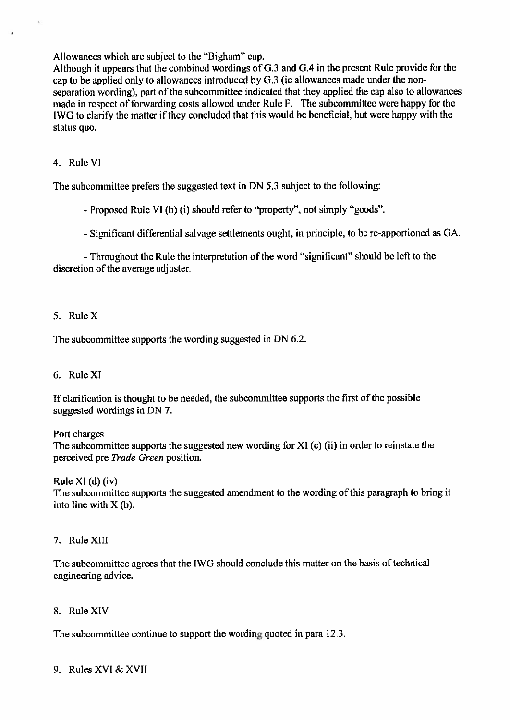Allowances which are subject to the "Bigham" cap.

Although it appears that the combined wordings of G.3 and G.4 in the present Rule provide for the cap to be applied only to allowances introduced by G.3 (ie allowances made under the nonseparation wording), part of the subcommittee indicated that they applied the cap also to allowances made in respect of forwarding costs allowed under Rule F. The subcommittee were happy for the IWG to clarify the matter if they concluded that this would be beneficial, but were happy with the status quo.

### 4. Rule VI

The subcommittee prefers the suggested text in DN 5.3 subject to the following:

- Proposed Rule VI (b) (i) should refer to "property", not simply "goods".

- Significant differential salvage settlements ought, in principle, to be re-apportioned as GA.

- Throughout the Rule the interpretation of the word "significant" should be left to the discretion of the average adjuster.

### $5$  Rule X

The subcommittee supports the wording suggested in DN 6.2.

### 6. Rule XI

If clarification is thought to be needed, the subcommittee supports the first of the possible suggested wordings in DN 7.

Port charges

The subcommittee supports the suggested new wording for XI (c) (ii) in order to reinstate the perceived pre Trade Green position.

Rule XI $(d)$  $(iv)$ 

The subcommittee supports the suggested amendment to the wording of this paragraph to bring it into line with  $X(b)$ .

### 7. Rule XIII

The subcommittee agrees that the IWG should conclude this matter on the basis of technical engineering advice.

### 8. Rule XIV

The subcommittee continue to support the wording quoted in para 12.3.

9. Rules XVI & XVII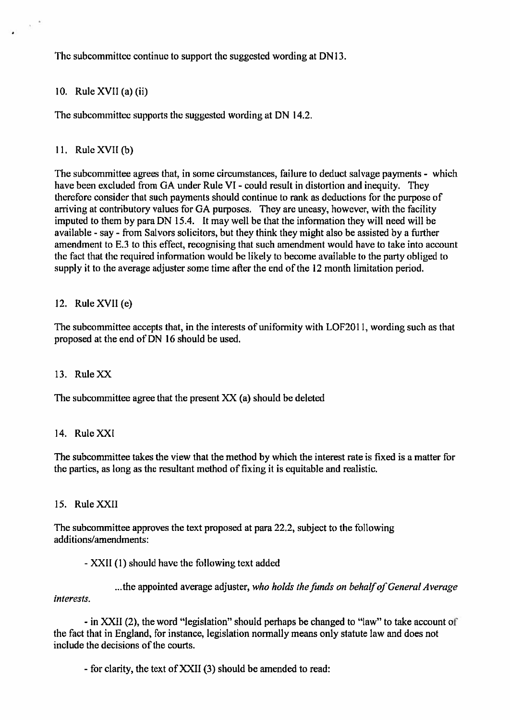The subcommittee continue to support the suggested wording at DN13.

10. Rule  $XVII$  (a) (ii)

The subcommittee supports the suggested wording at DN 14.2.

### 11. Rule XVII $(b)$

The subcommittee agrees that, in some circumstances, failure to deduct salvage payments - which have been excluded from GA under Rule VI - could result in distortion and inequity. They therefore consider that such payments should continue to rank as deductions for the purpose of arriving at contributory values for GA purposes. They are uneasy, however, with the facility imputed to them by para DN 15.4. It may well be that the information they will need will be available - say - from Salvors solicitors, but they think they might also be assisted by a further amendment to E.3 to this effect, recognising that such amendment would have to take into account the fact that the required information would be likely to become available to the party obliged to supply it to the average adjuster some time after the end of the 12 month limitation period.

### 12. Rule XVII (e)

The subcommittee accepts that, in the interests of uniformity with LOF2011, wording such as that proposed at the end of DN 16 should be used.

### 13. Rule XX

The subcommittee agree that the present XX (a) should be deleted

### 14. Rule XXI

The subcommittee takes the view that the method by which the interest rate is fixed is a matter for the parties, as long as the resultant method of fixing it is equitable and realistic.

### 15. Rule XXII

The subcommittee approves the text proposed at para 22.2, subject to the following additions/amendments:

- XXII (1) should have the following text added

...the appointed average adjuster, who holds the funds on behalf of General Average interests.

- in XXII (2), the word "legislation" should perhaps be changed to "law" to take account of the fact that in England, for instance, legislation normally means only statute law and does not include the decisions of the courts.

- for clarity, the text of XXII (3) should be amended to read: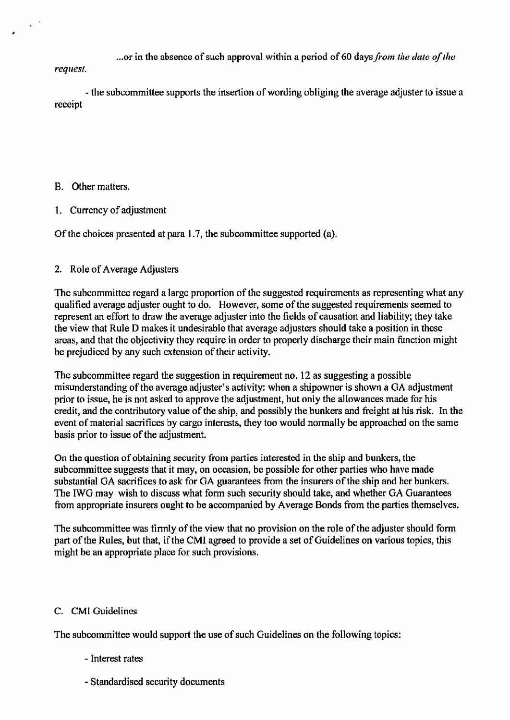...or in the absence of such approval within a period of 60 days from the date of the

request.

- the subcommittee supports the insertion of wording obliging the average adjuster to issue a receipt

### B. Other matters.

1. Currency of adjustment

Of the choices presented at para 1.7, the subcommittee supported (a).

### 2. Role of Average Adjusters

The subcommittee regard a large proportion of the suggested requirements as representing what any qualified average adjuster ought to do. However, some of the suggested requirements seemed to represent an effort to draw the average adjuster into the fields of causation and liability; they take the view that Rule D makes it undesirable that average adjusters should take a position in these areas, and that the objectivity they require in order to properly discharge their main function might be prejudiced by any such extension of their activity.

The subcommittee regard the suggestion in requirement no. 12 as suggesting a possible misunderstanding of the average adjuster's activity: when a shipowner is shown a GA adjustment prior to issue, he is not asked to approve the adjustment, but only the allowances made for his credit, and the contributory value of the ship, and possibly the bunkers and freight at his risk. In the event of material sacrifices by cargo interests, they too would normally be approached on the same basis prior to issue of the adjustment.

On the question of obtaining security from parties interested in the ship and bunkers, the subcommittee suggests that it may, on occasion, be possible for other parties who have made substantial GA sacrifices to ask for GA guarantees from the insurers of the ship and her bunkers. The IWG may wish to discuss what form such security should take, and whether GA Guarantees from appropriate insurers ought to be accompanied by Average Bonds from the parties themselves.

The subcommittee was firmly of the view that no provision on the role of the adjuster should form part of the Rules, but that, if the CMI agreed to provide a set of Guidelines on various topics, this might be an appropriate place for such provisions.

### C. CMI Guidelines

The subcommittee would support the use of such Guidelines on the following topics:

- Interest rates
- Standardised security documents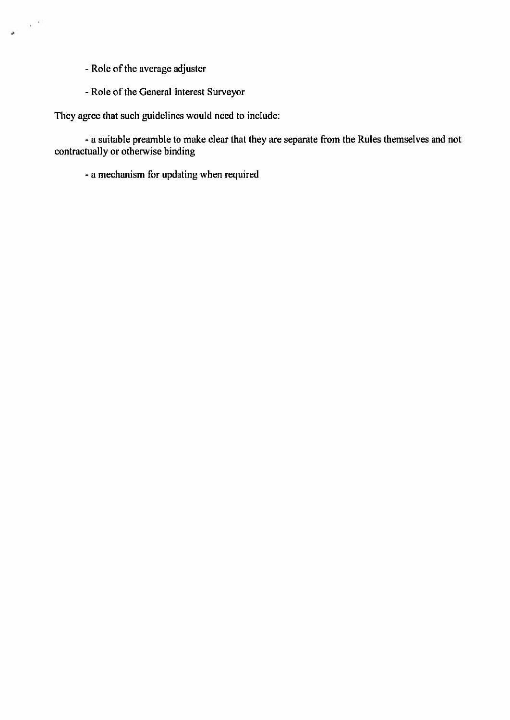- Role of the average adjuster

 $\frac{1}{\sqrt{2}}$  ,  $\frac{1}{\sqrt{2}}$ 

- Role of the General Interest Surveyor

They agree that such guidelines would need to include:

- a suitable preamble to make clear that they are separate from the Rules themselves and not contractually or otherwise binding

- a mechanism for updating when required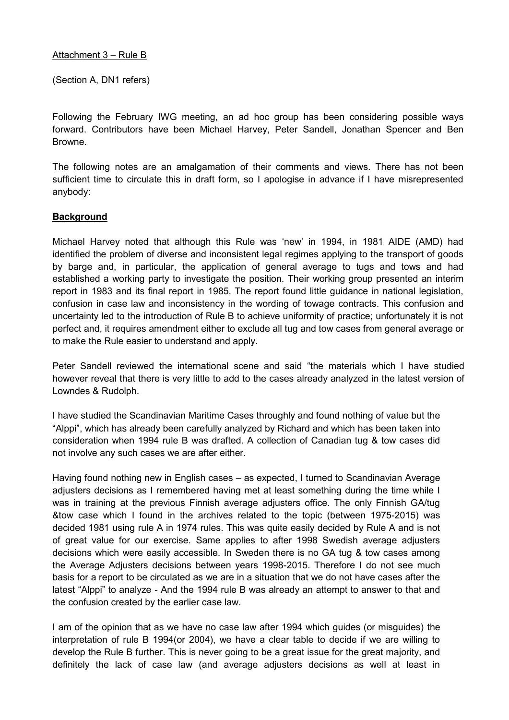### Attachment 3 – Rule B

(Section A, DN1 refers)

Following the February IWG meeting, an ad hoc group has been considering possible ways forward. Contributors have been Michael Harvey, Peter Sandell, Jonathan Spencer and Ben Browne.

The following notes are an amalgamation of their comments and views. There has not been sufficient time to circulate this in draft form, so I apologise in advance if I have misrepresented anybody:

### **Background**

Michael Harvey noted that although this Rule was 'new' in 1994, in 1981 AIDE (AMD) had identified the problem of diverse and inconsistent legal regimes applying to the transport of goods by barge and, in particular, the application of general average to tugs and tows and had established a working party to investigate the position. Their working group presented an interim report in 1983 and its final report in 1985. The report found little guidance in national legislation, confusion in case law and inconsistency in the wording of towage contracts. This confusion and uncertainty led to the introduction of Rule B to achieve uniformity of practice; unfortunately it is not perfect and, it requires amendment either to exclude all tug and tow cases from general average or to make the Rule easier to understand and apply.

Peter Sandell reviewed the international scene and said "the materials which I have studied however reveal that there is very little to add to the cases already analyzed in the latest version of Lowndes & Rudolph.

I have studied the Scandinavian Maritime Cases throughly and found nothing of value but the "Alppi", which has already been carefully analyzed by Richard and which has been taken into consideration when 1994 rule B was drafted. A collection of Canadian tug & tow cases did not involve any such cases we are after either.

Having found nothing new in English cases – as expected, I turned to Scandinavian Average adjusters decisions as I remembered having met at least something during the time while I was in training at the previous Finnish average adjusters office. The only Finnish GA/tug &tow case which I found in the archives related to the topic (between 1975-2015) was decided 1981 using rule A in 1974 rules. This was quite easily decided by Rule A and is not of great value for our exercise. Same applies to after 1998 Swedish average adjusters decisions which were easily accessible. In Sweden there is no GA tug & tow cases among the Average Adjusters decisions between years 1998-2015. Therefore I do not see much basis for a report to be circulated as we are in a situation that we do not have cases after the latest "Alppi" to analyze - And the 1994 rule B was already an attempt to answer to that and the confusion created by the earlier case law.

I am of the opinion that as we have no case law after 1994 which guides (or misguides) the interpretation of rule B 1994(or 2004), we have a clear table to decide if we are willing to develop the Rule B further. This is never going to be a great issue for the great majority, and definitely the lack of case law (and average adjusters decisions as well at least in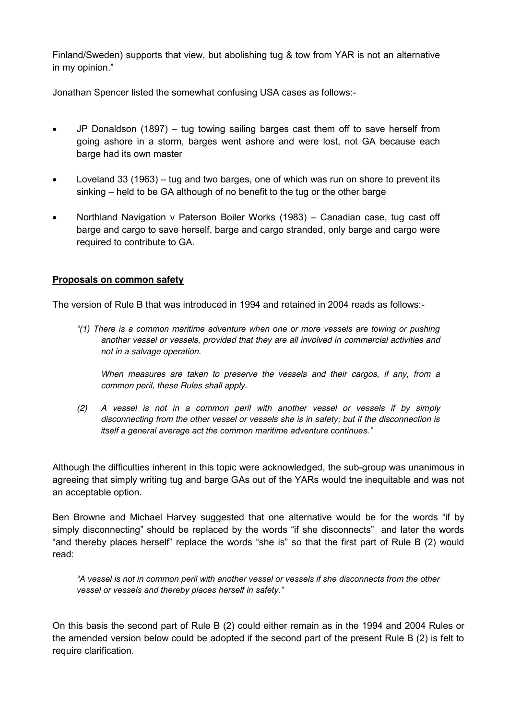Finland/Sweden) supports that view, but abolishing tug & tow from YAR is not an alternative in my opinion."

Jonathan Spencer listed the somewhat confusing USA cases as follows:-

- JP Donaldson (1897) tug towing sailing barges cast them off to save herself from going ashore in a storm, barges went ashore and were lost, not GA because each barge had its own master
- $\bullet$  Loveland 33 (1963) tug and two barges, one of which was run on shore to prevent its sinking – held to be GA although of no benefit to the tug or the other barge
- Northland Navigation v Paterson Boiler Works (1983) Canadian case, tug cast off barge and cargo to save herself, barge and cargo stranded, only barge and cargo were required to contribute to GA.

### **Proposals on common safety**

The version of Rule B that was introduced in 1994 and retained in 2004 reads as follows:-

*"(1) There is a common maritime adventure when one or more vessels are towing or pushing another vessel or vessels, provided that they are all involved in commercial activities and not in a salvage operation.* 

*When measures are taken to preserve the vessels and their cargos, if any, from a common peril, these Rules shall apply.*

*(2) A vessel is not in a common peril with another vessel or vessels if by simply disconnecting from the other vessel or vessels she is in safety; but if the disconnection is itself a general average act the common maritime adventure continues."*

Although the difficulties inherent in this topic were acknowledged, the sub-group was unanimous in agreeing that simply writing tug and barge GAs out of the YARs would tne inequitable and was not an acceptable option.

Ben Browne and Michael Harvey suggested that one alternative would be for the words "if by simply disconnecting" should be replaced by the words "if she disconnects" and later the words "and thereby places herself" replace the words "she is" so that the first part of Rule B (2) would read:

*"A vessel is not in common peril with another vessel or vessels if she disconnects from the other vessel or vessels and thereby places herself in safety."*

On this basis the second part of Rule B (2) could either remain as in the 1994 and 2004 Rules or the amended version below could be adopted if the second part of the present Rule B (2) is felt to require clarification.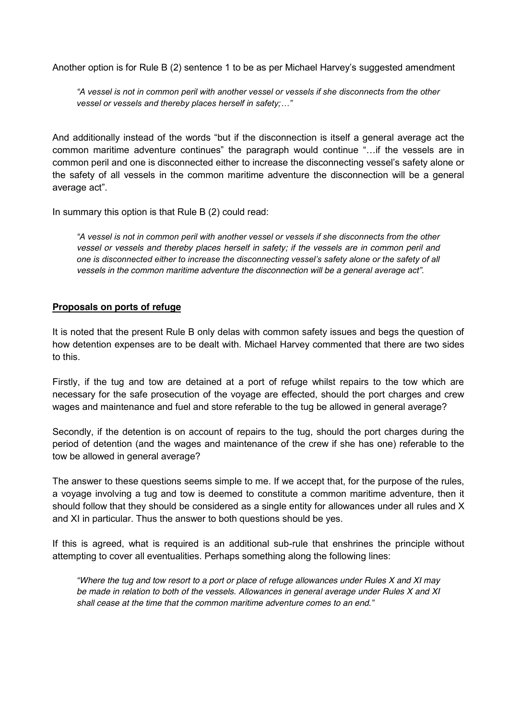Another option is for Rule B (2) sentence 1 to be as per Michael Harvey's suggested amendment

*"A vessel is not in common peril with another vessel or vessels if she disconnects from the other vessel or vessels and thereby places herself in safety;…"*

And additionally instead of the words "but if the disconnection is itself a general average act the common maritime adventure continues" the paragraph would continue "…if the vessels are in common peril and one is disconnected either to increase the disconnecting vessel's safety alone or the safety of all vessels in the common maritime adventure the disconnection will be a general average act".

In summary this option is that Rule B (2) could read:

*"A vessel is not in common peril with another vessel or vessels if she disconnects from the other vessel or vessels and thereby places herself in safety; if the vessels are in common peril and one is disconnected either to increase the disconnecting vessel's safety alone or the safety of all vessels in the common maritime adventure the disconnection will be a general average act".*

#### **Proposals on ports of refuge**

It is noted that the present Rule B only delas with common safety issues and begs the question of how detention expenses are to be dealt with. Michael Harvey commented that there are two sides to this.

Firstly, if the tug and tow are detained at a port of refuge whilst repairs to the tow which are necessary for the safe prosecution of the voyage are effected, should the port charges and crew wages and maintenance and fuel and store referable to the tug be allowed in general average?

Secondly, if the detention is on account of repairs to the tug, should the port charges during the period of detention (and the wages and maintenance of the crew if she has one) referable to the tow be allowed in general average?

The answer to these questions seems simple to me. If we accept that, for the purpose of the rules, a voyage involving a tug and tow is deemed to constitute a common maritime adventure, then it should follow that they should be considered as a single entity for allowances under all rules and X and XI in particular. Thus the answer to both questions should be yes.

If this is agreed, what is required is an additional sub-rule that enshrines the principle without attempting to cover all eventualities. Perhaps something along the following lines:

*"Where the tug and tow resort to a port or place of refuge allowances under Rules X and XI may be made in relation to both of the vessels. Allowances in general average under Rules X and XI shall cease at the time that the common maritime adventure comes to an end."*